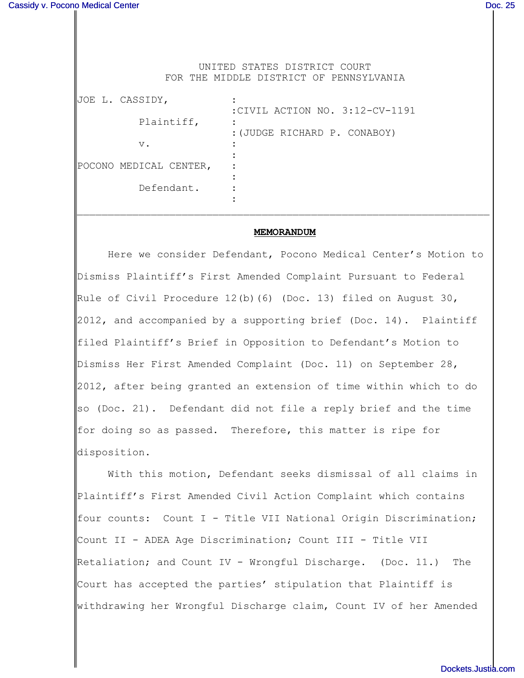UNITED STATES DISTRICT COURT FOR THE MIDDLE DISTRICT OF PENNSYLVANIA

| JOE L. CASSIDY,        |                                |
|------------------------|--------------------------------|
|                        | :CIVIL ACTION NO. 3:12-CV-1191 |
| Plaintiff,             |                                |
|                        | : (JUDGE RICHARD P. CONABOY)   |
| $V$ .                  |                                |
|                        |                                |
| POCONO MEDICAL CENTER, |                                |
|                        |                                |
| Defendant.             |                                |
|                        |                                |

#### **MEMORANDUM**

 $\mathcal{L}_\text{max} = \mathcal{L}_\text{max} = \mathcal{L}_\text{max} = \mathcal{L}_\text{max} = \mathcal{L}_\text{max} = \mathcal{L}_\text{max} = \mathcal{L}_\text{max} = \mathcal{L}_\text{max} = \mathcal{L}_\text{max} = \mathcal{L}_\text{max} = \mathcal{L}_\text{max} = \mathcal{L}_\text{max} = \mathcal{L}_\text{max} = \mathcal{L}_\text{max} = \mathcal{L}_\text{max} = \mathcal{L}_\text{max} = \mathcal{L}_\text{max} = \mathcal{L}_\text{max} = \mathcal{$ 

Here we consider Defendant, Pocono Medical Center's Motion to Dismiss Plaintiff's First Amended Complaint Pursuant to Federal Rule of Civil Procedure  $12(b)$  (6) (Doc. 13) filed on August 30, 2012, and accompanied by a supporting brief (Doc. 14). Plaintiff filed Plaintiff's Brief in Opposition to Defendant's Motion to Dismiss Her First Amended Complaint (Doc. 11) on September 28, 2012, after being granted an extension of time within which to do so (Doc. 21). Defendant did not file a reply brief and the time for doing so as passed. Therefore, this matter is ripe for disposition.

With this motion, Defendant seeks dismissal of all claims in Plaintiff's First Amended Civil Action Complaint which contains four counts: Count I - Title VII National Origin Discrimination; Count II - ADEA Age Discrimination; Count III - Title VII Retaliation; and Count IV - Wrongful Discharge. (Doc. 11.) The Court has accepted the parties' stipulation that Plaintiff is withdrawing her Wrongful Discharge claim, Count IV of her Amended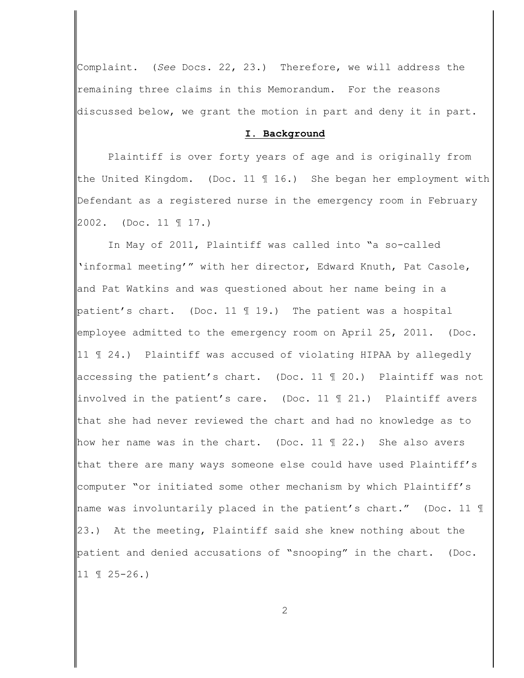Complaint. (*See* Docs. 22, 23.) Therefore, we will address the remaining three claims in this Memorandum. For the reasons discussed below, we grant the motion in part and deny it in part.

#### **I. Background**

Plaintiff is over forty years of age and is originally from the United Kingdom. (Doc. 11 ¶ 16.) She began her employment with Defendant as a registered nurse in the emergency room in February 2002. (Doc. 11 ¶ 17.)

In May of 2011, Plaintiff was called into "a so-called 'informal meeting'" with her director, Edward Knuth, Pat Casole, and Pat Watkins and was questioned about her name being in a patient's chart. (Doc. 11 ¶ 19.) The patient was a hospital employee admitted to the emergency room on April 25, 2011. (Doc. 11 ¶ 24.) Plaintiff was accused of violating HIPAA by allegedly accessing the patient's chart. (Doc. 11 ¶ 20.) Plaintiff was not involved in the patient's care. (Doc. 11 ¶ 21.) Plaintiff avers that she had never reviewed the chart and had no knowledge as to how her name was in the chart. (Doc. 11  $\parallel$  22.) She also avers that there are many ways someone else could have used Plaintiff's computer "or initiated some other mechanism by which Plaintiff's hame was involuntarily placed in the patient's chart." (Doc. 11 1 23.) At the meeting, Plaintiff said she knew nothing about the patient and denied accusations of "snooping" in the chart. (Doc. 11 ¶ 25-26.)

2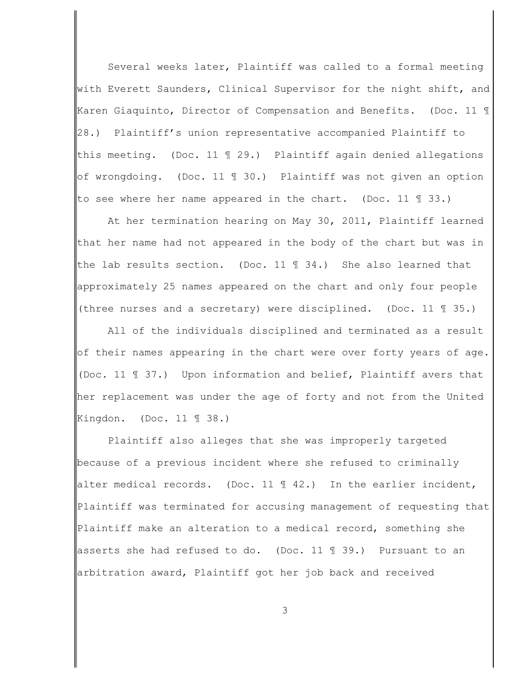Several weeks later, Plaintiff was called to a formal meeting with Everett Saunders, Clinical Supervisor for the night shift, and Karen Giaquinto, Director of Compensation and Benefits. (Doc. 11 ¶ 28.) Plaintiff's union representative accompanied Plaintiff to this meeting. (Doc. 11 ¶ 29.) Plaintiff again denied allegations of wrongdoing. (Doc. 11 ¶ 30.) Plaintiff was not given an option to see where her name appeared in the chart. (Doc. 11  $\text{\textsterling}$  33.)

At her termination hearing on May 30, 2011, Plaintiff learned that her name had not appeared in the body of the chart but was in the lab results section. (Doc. 11  $\text{\textsterling}$  34.) She also learned that approximately 25 names appeared on the chart and only four people (three nurses and a secretary) were disciplined. (Doc. 11 ¶ 35.)

All of the individuals disciplined and terminated as a result of their names appearing in the chart were over forty years of age. (Doc. 11 ¶ 37.) Upon information and belief, Plaintiff avers that her replacement was under the age of forty and not from the United Kingdon. (Doc. 11 ¶ 38.)

Plaintiff also alleges that she was improperly targeted because of a previous incident where she refused to criminally alter medical records. (Doc. 11  $\parallel$  42.) In the earlier incident, Plaintiff was terminated for accusing management of requesting that Plaintiff make an alteration to a medical record, something she asserts she had refused to do. (Doc. 11 ¶ 39.) Pursuant to an arbitration award, Plaintiff got her job back and received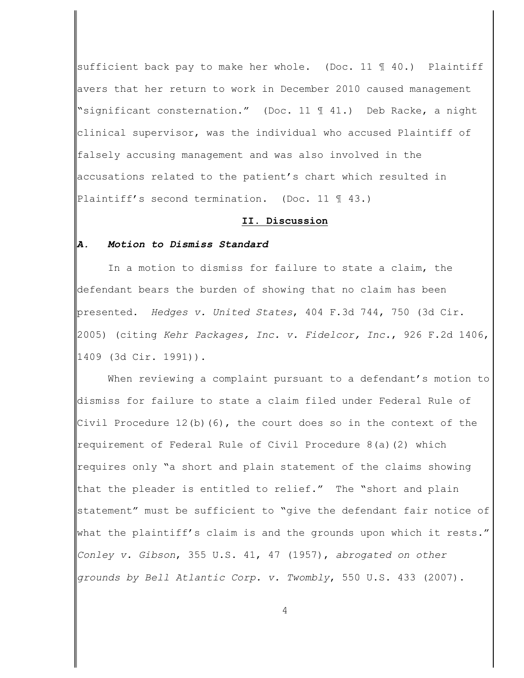sufficient back pay to make her whole. (Doc. 11  $\parallel$  40.) Plaintiff avers that her return to work in December 2010 caused management "significant consternation." (Doc. 11 ¶ 41.) Deb Racke, a night clinical supervisor, was the individual who accused Plaintiff of falsely accusing management and was also involved in the accusations related to the patient's chart which resulted in Plaintiff's second termination. (Doc. 11 ¶ 43.)

#### **II. Discussion**

## *A. Motion to Dismiss Standard*

In a motion to dismiss for failure to state a claim, the defendant bears the burden of showing that no claim has been presented. *Hedges v. United States*, 404 F.3d 744, 750 (3d Cir. 2005) (citing *Kehr Packages, Inc. v. Fidelcor, Inc.*, 926 F.2d 1406, 1409 (3d Cir. 1991)).

When reviewing a complaint pursuant to a defendant's motion to dismiss for failure to state a claim filed under Federal Rule of Civil Procedure  $12(b)(6)$ , the court does so in the context of the requirement of Federal Rule of Civil Procedure 8(a)(2) which requires only "a short and plain statement of the claims showing that the pleader is entitled to relief." The "short and plain statement" must be sufficient to "give the defendant fair notice of what the plaintiff's claim is and the grounds upon which it rests." *Conley v. Gibson*, 355 U.S. 41, 47 (1957), *abrogated on other grounds by Bell Atlantic Corp. v. Twombly*, 550 U.S. 433 (2007).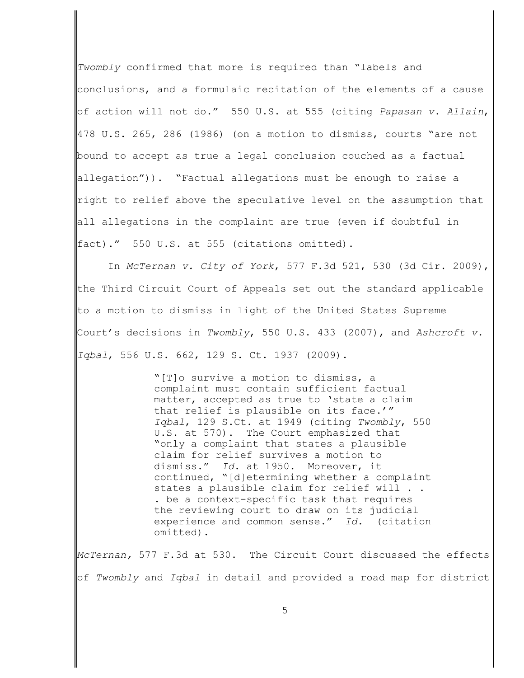*Twombly* confirmed that more is required than "labels and conclusions, and a formulaic recitation of the elements of a cause of action will not do." 550 U.S. at 555 (citing *Papasan v. Allain*, 478 U.S. 265, 286 (1986) (on a motion to dismiss, courts "are not bound to accept as true a legal conclusion couched as a factual allegation")). "Factual allegations must be enough to raise a right to relief above the speculative level on the assumption that all allegations in the complaint are true (even if doubtful in fact)." 550 U.S. at 555 (citations omitted).

In *McTernan v. City of York*, 577 F.3d 521, 530 (3d Cir. 2009), the Third Circuit Court of Appeals set out the standard applicable to a motion to dismiss in light of the United States Supreme Court's decisions in *Twombly*, 550 U.S. 433 (2007), and *Ashcroft v. Iqbal*, 556 U.S. 662, 129 S. Ct. 1937 (2009).

> "[T]o survive a motion to dismiss, a complaint must contain sufficient factual matter, accepted as true to 'state a claim that relief is plausible on its face.'" *Iqbal*, 129 S.Ct. at 1949 (citing *Twombly*, 550 U.S. at 570). The Court emphasized that "only a complaint that states a plausible claim for relief survives a motion to dismiss." *Id.* at 1950. Moreover, it continued, "[d]etermining whether a complaint states a plausible claim for relief will . . . be a context-specific task that requires the reviewing court to draw on its judicial experience and common sense." *Id.* (citation omitted).

*McTernan,* 577 F.3d at 530. The Circuit Court discussed the effects of *Twombly* and *Iqbal* in detail and provided a road map for district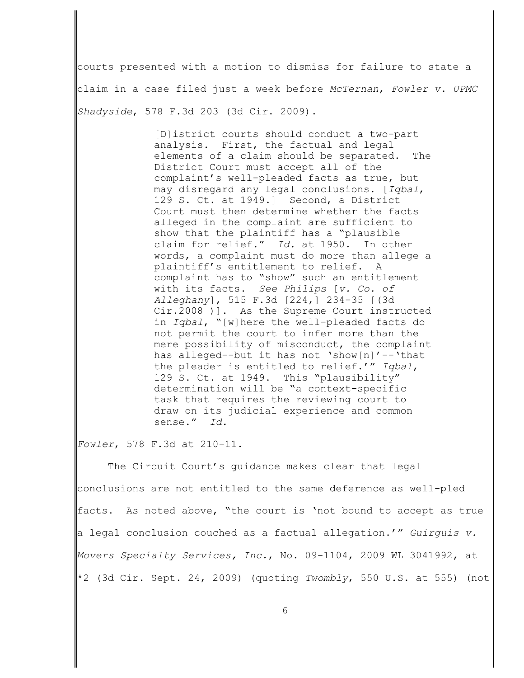courts presented with a motion to dismiss for failure to state a claim in a case filed just a week before *McTernan*, *Fowler v. UPMC Shadyside*, 578 F.3d 203 (3d Cir. 2009).

> [D]istrict courts should conduct a two-part analysis. First, the factual and legal elements of a claim should be separated. The District Court must accept all of the complaint's well-pleaded facts as true, but may disregard any legal conclusions. [*Iqbal*, 129 S. Ct. at 1949.] Second, a District Court must then determine whether the facts alleged in the complaint are sufficient to show that the plaintiff has a "plausible claim for relief." *Id.* at 1950. In other words, a complaint must do more than allege a plaintiff's entitlement to relief. A complaint has to "show" such an entitlement with its facts. *See Philips* [*v. Co. of Alleghany*], 515 F.3d [224,] 234-35 [(3d Cir.2008 )]. As the Supreme Court instructed in *Iqbal*, "[w]here the well-pleaded facts do not permit the court to infer more than the mere possibility of misconduct, the complaint has alleged--but it has not 'show[n]'--'that the pleader is entitled to relief.'" *Iqbal*, 129 S. Ct. at 1949. This "plausibility" determination will be "a context-specific task that requires the reviewing court to draw on its judicial experience and common sense." *Id.*

*Fowler*, 578 F.3d at 210-11.

The Circuit Court's guidance makes clear that legal conclusions are not entitled to the same deference as well-pled facts. As noted above, "the court is 'not bound to accept as true a legal conclusion couched as a factual allegation.'" *Guirguis v. Movers Specialty Services, Inc.*, No. 09-1104, 2009 WL 3041992, at \*2 (3d Cir. Sept. 24, 2009) (quoting *Twombly*, 550 U.S. at 555) (not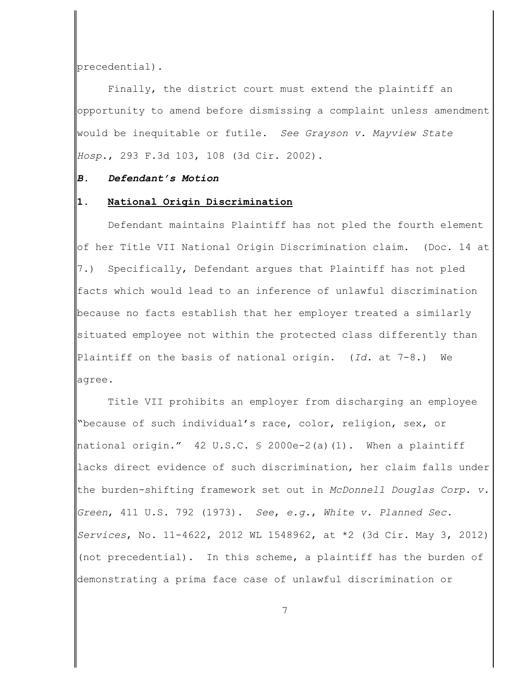precedential).

Finally, the district court must extend the plaintiff an opportunity to amend before dismissing a complaint unless amendment would be inequitable or futile. *See Grayson v. Mayview State Hosp.*, 293 F.3d 103, 108 (3d Cir. 2002).

## *B. Defendant's Motion*

### **1. National Origin Discrimination**

Defendant maintains Plaintiff has not pled the fourth element of her Title VII National Origin Discrimination claim. (Doc. 14 at 7.) Specifically, Defendant argues that Plaintiff has not pled facts which would lead to an inference of unlawful discrimination because no facts establish that her employer treated a similarly situated employee not within the protected class differently than Plaintiff on the basis of national origin. (*Id.* at 7-8.) We agree.

Title VII prohibits an employer from discharging an employee "because of such individual's race, color, religion, sex, or national origin." 42 U.S.C. § 2000e-2(a)(1). When a plaintiff lacks direct evidence of such discrimination, her claim falls under the burden-shifting framework set out in *McDonnell Douglas Corp. v. Green*, 411 U.S. 792 (1973). *See*, *e.g.*, *White v. Planned Sec. Services*, No. 11-4622, 2012 WL 1548962, at \*2 (3d Cir. May 3, 2012) (not precedential). In this scheme, a plaintiff has the burden of demonstrating a prima face case of unlawful discrimination or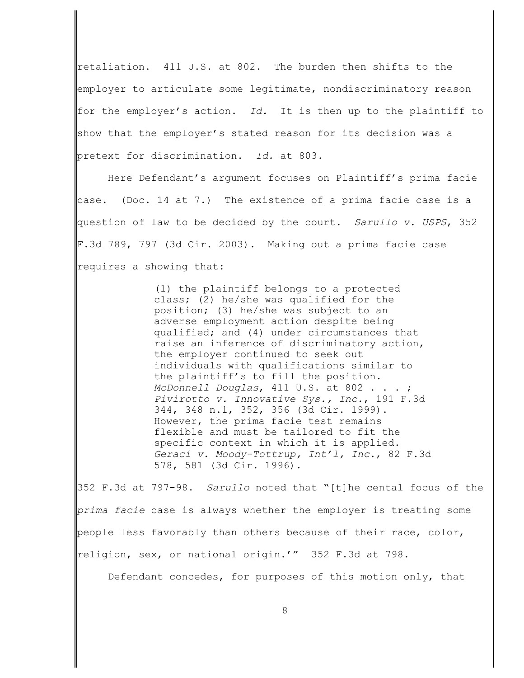retaliation. 411 U.S. at 802. The burden then shifts to the employer to articulate some legitimate, nondiscriminatory reason for the employer's action. *Id.* It is then up to the plaintiff to show that the employer's stated reason for its decision was a pretext for discrimination. *Id.* at 803.

Here Defendant's argument focuses on Plaintiff's prima facie case. (Doc. 14 at 7.) The existence of a prima facie case is a question of law to be decided by the court. *Sarullo v. USPS*, 352 F.3d 789, 797 (3d Cir. 2003). Making out a prima facie case requires a showing that:

> (1) the plaintiff belongs to a protected class; (2) he/she was qualified for the position; (3) he/she was subject to an adverse employment action despite being qualified; and (4) under circumstances that raise an inference of discriminatory action, the employer continued to seek out individuals with qualifications similar to the plaintiff's to fill the position. *McDonnell Douglas*, 411 U.S. at 802 . . . ; *Pivirotto v. Innovative Sys., Inc.*, 191 F.3d 344, 348 n.1, 352, 356 (3d Cir. 1999). However, the prima facie test remains flexible and must be tailored to fit the specific context in which it is applied. *Geraci v. Moody-Tottrup, Int'l, Inc.*, 82 F.3d 578, 581 (3d Cir. 1996).

352 F.3d at 797-98. *Sarullo* noted that "[t]he cental focus of the *prima facie* case is always whether the employer is treating some people less favorably than others because of their race, color, religion, sex, or national origin.'" 352 F.3d at 798.

Defendant concedes, for purposes of this motion only, that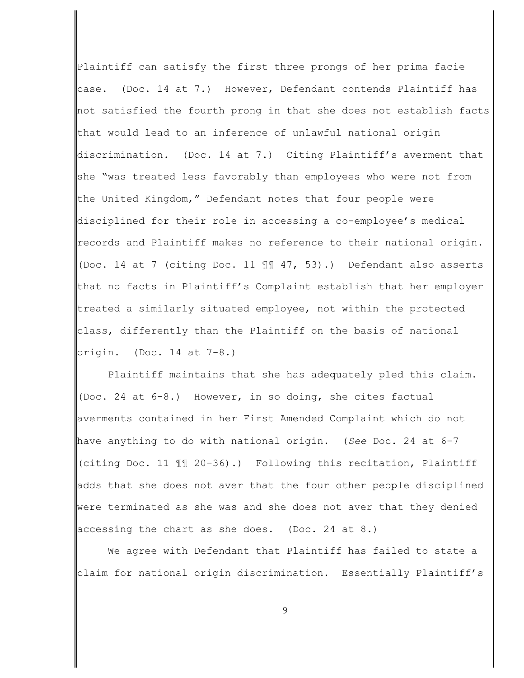Plaintiff can satisfy the first three prongs of her prima facie case. (Doc. 14 at 7.) However, Defendant contends Plaintiff has not satisfied the fourth prong in that she does not establish facts that would lead to an inference of unlawful national origin discrimination. (Doc. 14 at 7.) Citing Plaintiff's averment that she "was treated less favorably than employees who were not from the United Kingdom," Defendant notes that four people were disciplined for their role in accessing a co-employee's medical records and Plaintiff makes no reference to their national origin. (Doc. 14 at 7 (citing Doc. 11 ¶¶ 47, 53).) Defendant also asserts that no facts in Plaintiff's Complaint establish that her employer treated a similarly situated employee, not within the protected class, differently than the Plaintiff on the basis of national origin. (Doc. 14 at 7-8.)

Plaintiff maintains that she has adequately pled this claim. (Doc. 24 at 6-8.) However, in so doing, she cites factual averments contained in her First Amended Complaint which do not have anything to do with national origin. (*See* Doc. 24 at 6-7 (citing Doc. 11 ¶¶ 20-36).) Following this recitation, Plaintiff adds that she does not aver that the four other people disciplined were terminated as she was and she does not aver that they denied accessing the chart as she does. (Doc. 24 at 8.)

We agree with Defendant that Plaintiff has failed to state a claim for national origin discrimination. Essentially Plaintiff's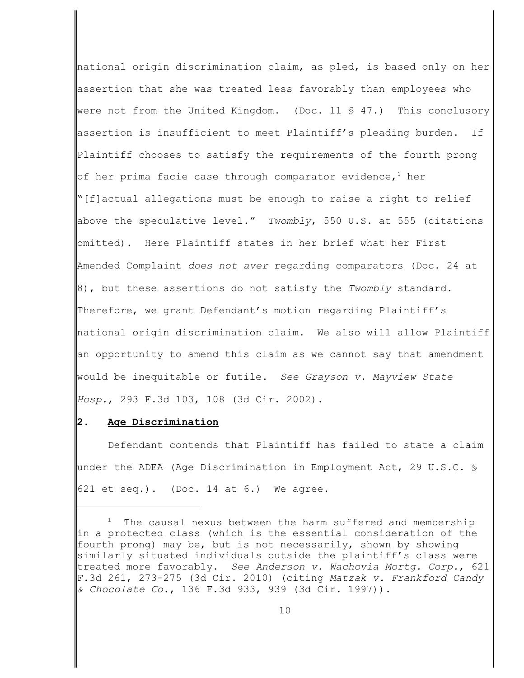national origin discrimination claim, as pled, is based only on her assertion that she was treated less favorably than employees who were not from the United Kingdom. (Doc. 11  $\frac{6}{5}$  47.) This conclusory assertion is insufficient to meet Plaintiff's pleading burden. If Plaintiff chooses to satisfy the requirements of the fourth prong of her prima facie case through comparator evidence, $^{\rm 1}$  her "[f]actual allegations must be enough to raise a right to relief above the speculative level." *Twombly*, 550 U.S. at 555 (citations omitted). Here Plaintiff states in her brief what her First Amended Complaint *does not aver* regarding comparators (Doc. 24 at 8), but these assertions do not satisfy the *Twombly* standard. Therefore, we grant Defendant's motion regarding Plaintiff's national origin discrimination claim. We also will allow Plaintiff an opportunity to amend this claim as we cannot say that amendment would be inequitable or futile. *See Grayson v. Mayview State Hosp.*, 293 F.3d 103, 108 (3d Cir. 2002).

# **2. Age Discrimination**

Defendant contends that Plaintiff has failed to state a claim under the ADEA (Age Discrimination in Employment Act, 29 U.S.C. § 621 et seq.). (Doc. 14 at 6.) We agree.

The causal nexus between the harm suffered and membership in a protected class (which is the essential consideration of the fourth prong) may be, but is not necessarily, shown by showing similarly situated individuals outside the plaintiff's class were treated more favorably. *See Anderson v. Wachovia Mortg. Corp.*, 621 F.3d 261, 273-275 (3d Cir. 2010) (citing *Matzak v. Frankford Candy & Chocolate Co.*, 136 F.3d 933, 939 (3d Cir. 1997)).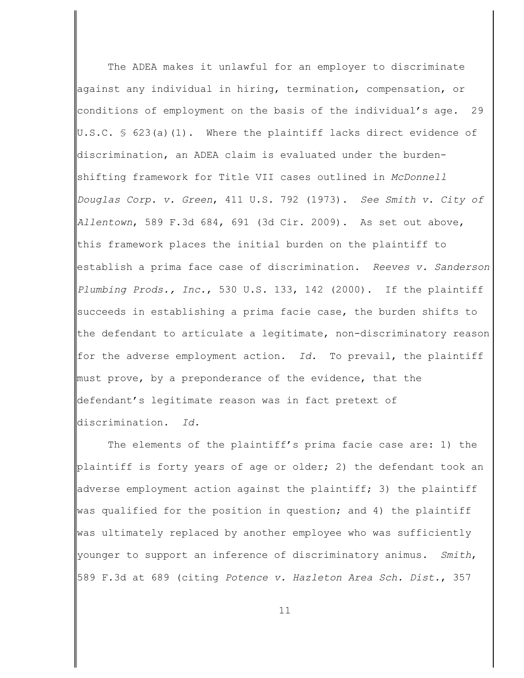The ADEA makes it unlawful for an employer to discriminate against any individual in hiring, termination, compensation, or conditions of employment on the basis of the individual's age. 29 U.S.C. § 623(a)(1). Where the plaintiff lacks direct evidence of discrimination, an ADEA claim is evaluated under the burdenshifting framework for Title VII cases outlined in *McDonnell Douglas Corp. v. Green*, 411 U.S. 792 (1973). *See Smith v. City of Allentown*, 589 F.3d 684, 691 (3d Cir. 2009). As set out above, this framework places the initial burden on the plaintiff to establish a prima face case of discrimination. *Reeves v. Sanderson Plumbing Prods., Inc.*, 530 U.S. 133, 142 (2000). If the plaintiff succeeds in establishing a prima facie case, the burden shifts to the defendant to articulate a legitimate, non-discriminatory reason for the adverse employment action. *Id.* To prevail, the plaintiff must prove, by a preponderance of the evidence, that the defendant's legitimate reason was in fact pretext of discrimination. *Id.*

The elements of the plaintiff's prima facie case are: 1) the plaintiff is forty years of age or older; 2) the defendant took an adverse employment action against the plaintiff; 3) the plaintiff was qualified for the position in question; and 4) the plaintiff was ultimately replaced by another employee who was sufficiently younger to support an inference of discriminatory animus. *Smith*, 589 F.3d at 689 (citing *Potence v. Hazleton Area Sch. Dist.*, 357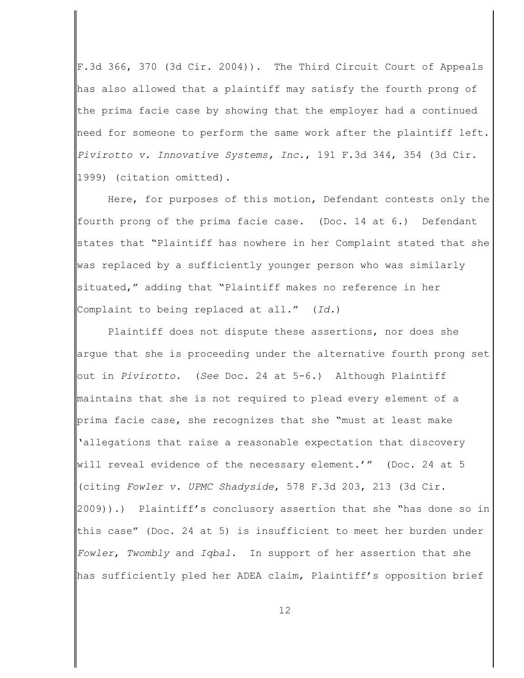F.3d 366, 370 (3d Cir. 2004)). The Third Circuit Court of Appeals has also allowed that a plaintiff may satisfy the fourth prong of the prima facie case by showing that the employer had a continued need for someone to perform the same work after the plaintiff left. *Pivirotto v. Innovative Systems, Inc.*, 191 F.3d 344, 354 (3d Cir. 1999) (citation omitted).

Here, for purposes of this motion, Defendant contests only the fourth prong of the prima facie case. (Doc. 14 at 6.) Defendant states that "Plaintiff has nowhere in her Complaint stated that she was replaced by a sufficiently younger person who was similarly situated," adding that "Plaintiff makes no reference in her Complaint to being replaced at all." (*Id.*)

Plaintiff does not dispute these assertions, nor does she argue that she is proceeding under the alternative fourth prong set out in *Pivirotto*. (*See* Doc. 24 at 5-6.) Although Plaintiff maintains that she is not required to plead every element of a prima facie case, she recognizes that she "must at least make 'allegations that raise a reasonable expectation that discovery will reveal evidence of the necessary element.'" (Doc. 24 at 5 (citing *Fowler v. UPMC Shadyside*, 578 F.3d 203, 213 (3d Cir. 2009)).) Plaintiff's conclusory assertion that she "has done so in this case" (Doc. 24 at 5) is insufficient to meet her burden under *Fowler*, *Twombly* and *Iqbal*. In support of her assertion that she has sufficiently pled her ADEA claim, Plaintiff's opposition brief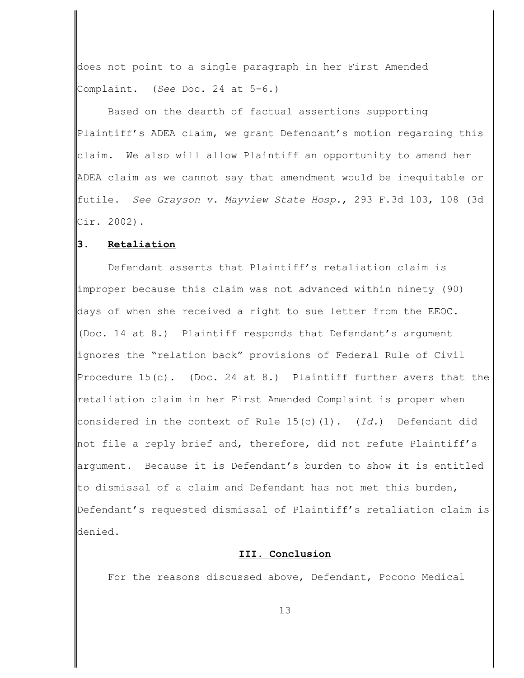does not point to a single paragraph in her First Amended Complaint. (*See* Doc. 24 at 5-6.)

Based on the dearth of factual assertions supporting Plaintiff's ADEA claim, we grant Defendant's motion regarding this claim. We also will allow Plaintiff an opportunity to amend her ADEA claim as we cannot say that amendment would be inequitable or futile. *See Grayson v. Mayview State Hosp.*, 293 F.3d 103, 108 (3d Cir. 2002).

### **3. Retaliation**

Defendant asserts that Plaintiff's retaliation claim is improper because this claim was not advanced within ninety (90) days of when she received a right to sue letter from the EEOC. (Doc. 14 at 8.) Plaintiff responds that Defendant's argument ignores the "relation back" provisions of Federal Rule of Civil Procedure  $15(c)$ . (Doc. 24 at 8.) Plaintiff further avers that the retaliation claim in her First Amended Complaint is proper when considered in the context of Rule 15(c)(1). (*Id.*) Defendant did not file a reply brief and, therefore, did not refute Plaintiff's argument. Because it is Defendant's burden to show it is entitled to dismissal of a claim and Defendant has not met this burden, Defendant's requested dismissal of Plaintiff's retaliation claim is denied.

## **III. Conclusion**

For the reasons discussed above, Defendant, Pocono Medical